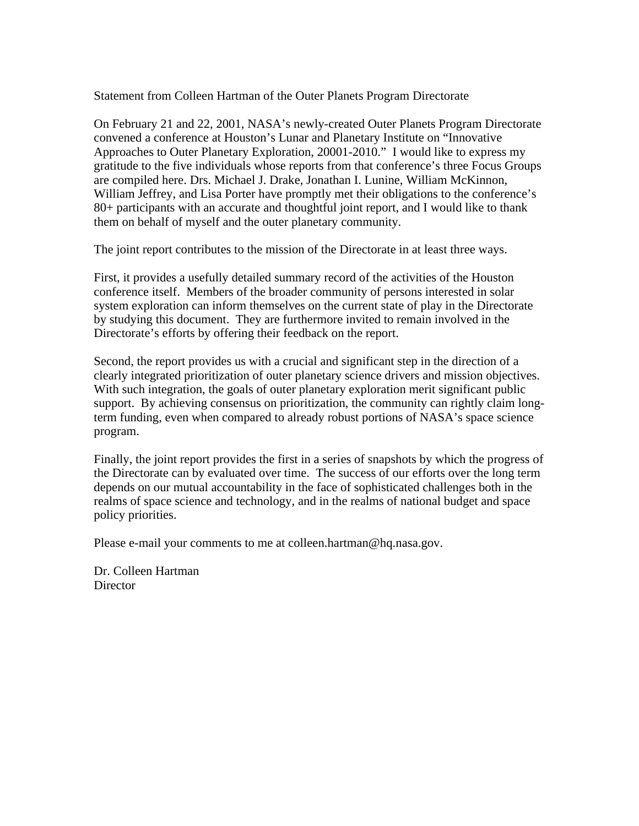Statement from Colleen Hartman of the Outer Planets Program Directorate

On February 21 and 22, 2001, NASA's newly-created Outer Planets Program Directorate convened a conference at Houston's Lunar and Planetary Institute on "Innovative Approaches to Outer Planetary Exploration, 20001-2010." I would like to express my gratitude to the five individuals whose reports from that conference's three Focus Groups are compiled here. Drs. Michael J. Drake, Jonathan I. Lunine, William McKinnon, William Jeffrey, and Lisa Porter have promptly met their obligations to the conference's 80+ participants with an accurate and thoughtful joint report, and I would like to thank them on behalf of myself and the outer planetary community.

The joint report contributes to the mission of the Directorate in at least three ways.

First, it provides a usefully detailed summary record of the activities of the Houston conference itself. Members of the broader community of persons interested in solar system exploration can inform themselves on the current state of play in the Directorate by studying this document. They are furthermore invited to remain involved in the Directorate's efforts by offering their feedback on the report.

Second, the report provides us with a crucial and significant step in the direction of a clearly integrated prioritization of outer planetary science drivers and mission objectives. With such integration, the goals of outer planetary exploration merit significant public support. By achieving consensus on prioritization, the community can rightly claim longterm funding, even when compared to already robust portions of NASA's space science program.

Finally, the joint report provides the first in a series of snapshots by which the progress of the Directorate can by evaluated over time. The success of our efforts over the long term depends on our mutual accountability in the face of sophisticated challenges both in the realms of space science and technology, and in the realms of national budget and space policy priorities.

Please e-mail your comments to me at colleen.hartman@hq.nasa.gov.

Dr. Colleen Hartman **Director**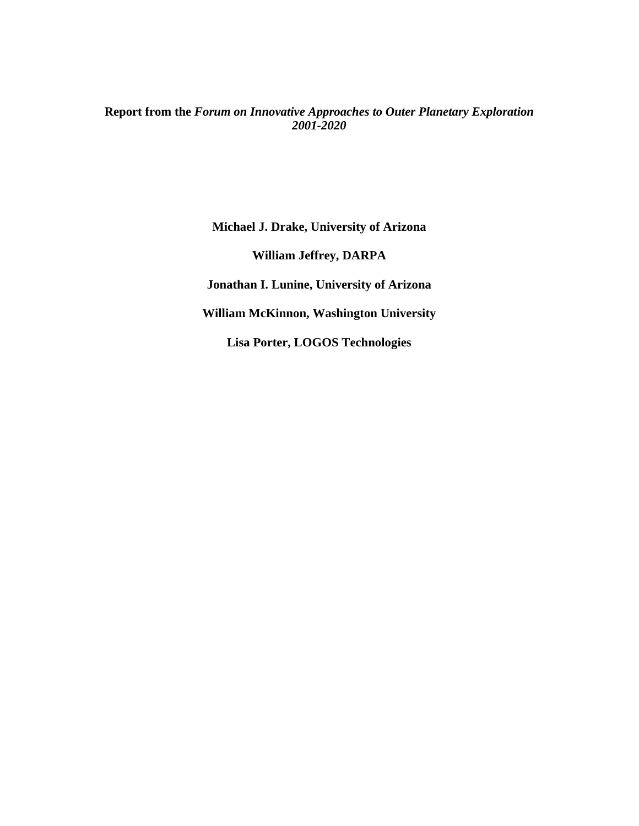# **Report from the** *Forum on Innovative Approaches to Outer Planetary Exploration 2001-2020*

**Michael J. Drake, University of Arizona William Jeffrey, DARPA Jonathan I. Lunine, University of Arizona William McKinnon, Washington University Lisa Porter, LOGOS Technologies**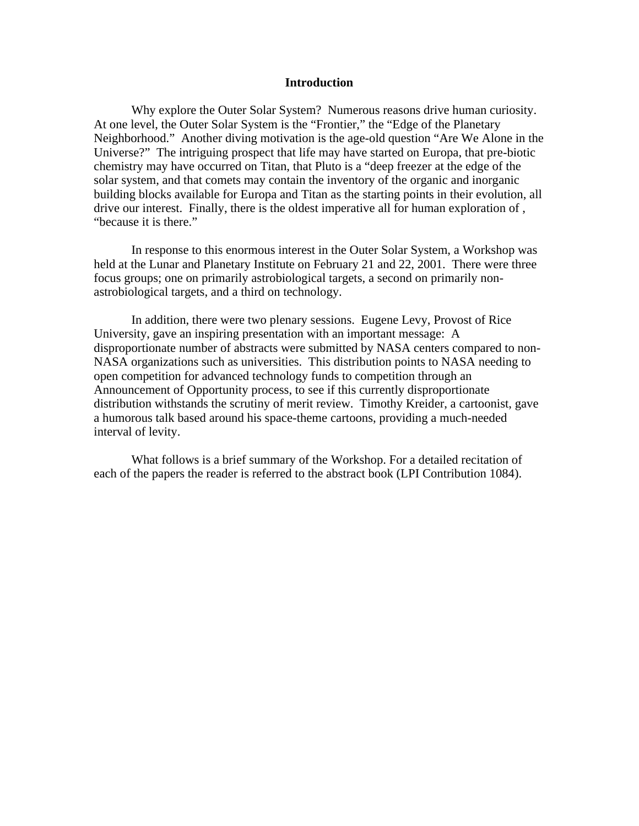#### **Introduction**

Why explore the Outer Solar System? Numerous reasons drive human curiosity. At one level, the Outer Solar System is the "Frontier," the "Edge of the Planetary Neighborhood." Another diving motivation is the age-old question "Are We Alone in the Universe?" The intriguing prospect that life may have started on Europa, that pre-biotic chemistry may have occurred on Titan, that Pluto is a "deep freezer at the edge of the solar system, and that comets may contain the inventory of the organic and inorganic building blocks available for Europa and Titan as the starting points in their evolution, all drive our interest. Finally, there is the oldest imperative all for human exploration of , "because it is there."

In response to this enormous interest in the Outer Solar System, a Workshop was held at the Lunar and Planetary Institute on February 21 and 22, 2001. There were three focus groups; one on primarily astrobiological targets, a second on primarily nonastrobiological targets, and a third on technology.

In addition, there were two plenary sessions. Eugene Levy, Provost of Rice University, gave an inspiring presentation with an important message: A disproportionate number of abstracts were submitted by NASA centers compared to non-NASA organizations such as universities. This distribution points to NASA needing to open competition for advanced technology funds to competition through an Announcement of Opportunity process, to see if this currently disproportionate distribution withstands the scrutiny of merit review. Timothy Kreider, a cartoonist, gave a humorous talk based around his space-theme cartoons, providing a much-needed interval of levity.

What follows is a brief summary of the Workshop. For a detailed recitation of each of the papers the reader is referred to the abstract book (LPI Contribution 1084).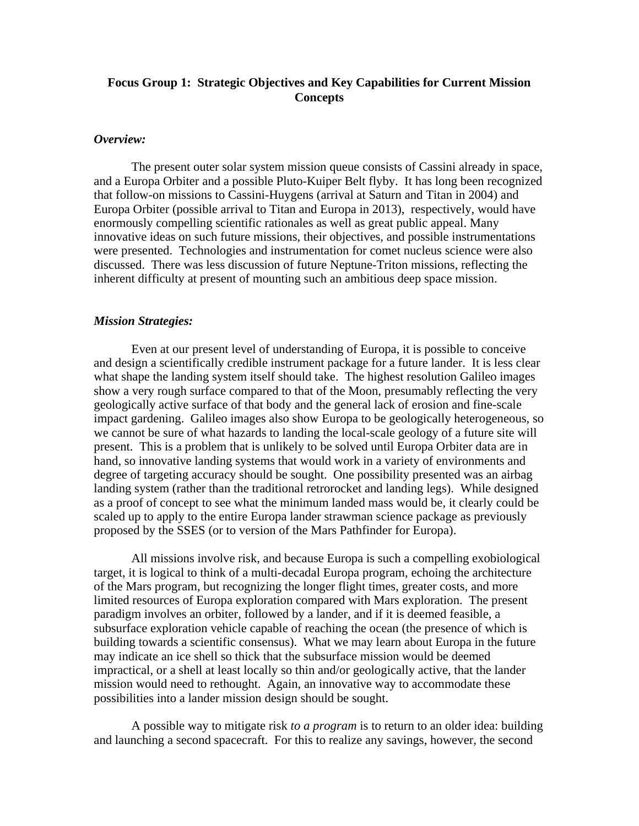# **Focus Group 1: Strategic Objectives and Key Capabilities for Current Mission Concepts**

## *Overview:*

The present outer solar system mission queue consists of Cassini already in space, and a Europa Orbiter and a possible Pluto-Kuiper Belt flyby. It has long been recognized that follow-on missions to Cassini-Huygens (arrival at Saturn and Titan in 2004) and Europa Orbiter (possible arrival to Titan and Europa in 2013), respectively, would have enormously compelling scientific rationales as well as great public appeal. Many innovative ideas on such future missions, their objectives, and possible instrumentations were presented. Technologies and instrumentation for comet nucleus science were also discussed. There was less discussion of future Neptune-Triton missions, reflecting the inherent difficulty at present of mounting such an ambitious deep space mission.

#### *Mission Strategies:*

Even at our present level of understanding of Europa, it is possible to conceive and design a scientifically credible instrument package for a future lander. It is less clear what shape the landing system itself should take. The highest resolution Galileo images show a very rough surface compared to that of the Moon, presumably reflecting the very geologically active surface of that body and the general lack of erosion and fine-scale impact gardening. Galileo images also show Europa to be geologically heterogeneous, so we cannot be sure of what hazards to landing the local-scale geology of a future site will present. This is a problem that is unlikely to be solved until Europa Orbiter data are in hand, so innovative landing systems that would work in a variety of environments and degree of targeting accuracy should be sought. One possibility presented was an airbag landing system (rather than the traditional retrorocket and landing legs). While designed as a proof of concept to see what the minimum landed mass would be, it clearly could be scaled up to apply to the entire Europa lander strawman science package as previously proposed by the SSES (or to version of the Mars Pathfinder for Europa).

All missions involve risk, and because Europa is such a compelling exobiological target, it is logical to think of a multi-decadal Europa program, echoing the architecture of the Mars program, but recognizing the longer flight times, greater costs, and more limited resources of Europa exploration compared with Mars exploration. The present paradigm involves an orbiter, followed by a lander, and if it is deemed feasible, a subsurface exploration vehicle capable of reaching the ocean (the presence of which is building towards a scientific consensus). What we may learn about Europa in the future may indicate an ice shell so thick that the subsurface mission would be deemed impractical, or a shell at least locally so thin and/or geologically active, that the lander mission would need to rethought. Again, an innovative way to accommodate these possibilities into a lander mission design should be sought.

A possible way to mitigate risk *to a program* is to return to an older idea: building and launching a second spacecraft. For this to realize any savings, however, the second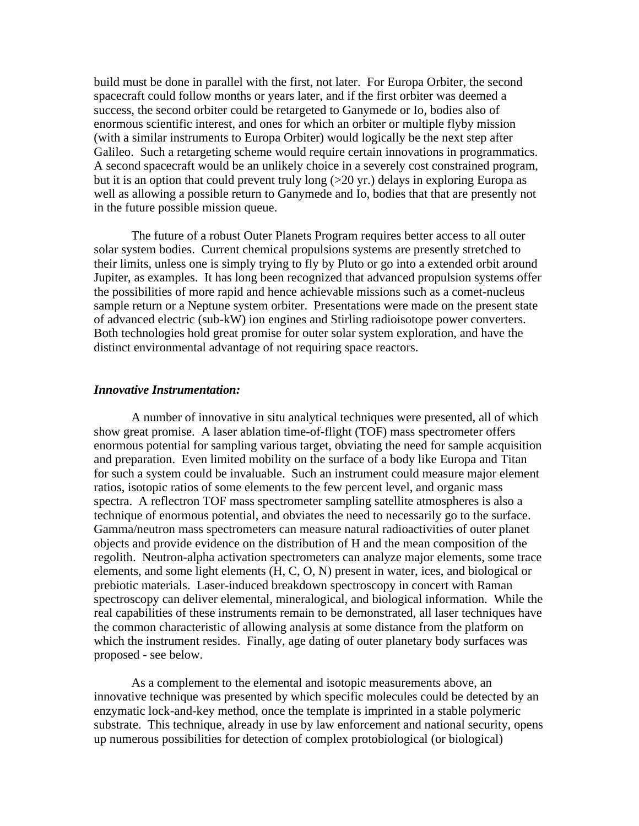build must be done in parallel with the first, not later. For Europa Orbiter, the second spacecraft could follow months or years later, and if the first orbiter was deemed a success, the second orbiter could be retargeted to Ganymede or Io, bodies also of enormous scientific interest, and ones for which an orbiter or multiple flyby mission (with a similar instruments to Europa Orbiter) would logically be the next step after Galileo. Such a retargeting scheme would require certain innovations in programmatics. A second spacecraft would be an unlikely choice in a severely cost constrained program, but it is an option that could prevent truly long (>20 yr.) delays in exploring Europa as well as allowing a possible return to Ganymede and Io, bodies that that are presently not in the future possible mission queue.

The future of a robust Outer Planets Program requires better access to all outer solar system bodies. Current chemical propulsions systems are presently stretched to their limits, unless one is simply trying to fly by Pluto or go into a extended orbit around Jupiter, as examples. It has long been recognized that advanced propulsion systems offer the possibilities of more rapid and hence achievable missions such as a comet-nucleus sample return or a Neptune system orbiter. Presentations were made on the present state of advanced electric (sub-kW) ion engines and Stirling radioisotope power converters. Both technologies hold great promise for outer solar system exploration, and have the distinct environmental advantage of not requiring space reactors.

## *Innovative Instrumentation:*

A number of innovative in situ analytical techniques were presented, all of which show great promise. A laser ablation time-of-flight (TOF) mass spectrometer offers enormous potential for sampling various target, obviating the need for sample acquisition and preparation. Even limited mobility on the surface of a body like Europa and Titan for such a system could be invaluable. Such an instrument could measure major element ratios, isotopic ratios of some elements to the few percent level, and organic mass spectra. A reflectron TOF mass spectrometer sampling satellite atmospheres is also a technique of enormous potential, and obviates the need to necessarily go to the surface. Gamma/neutron mass spectrometers can measure natural radioactivities of outer planet objects and provide evidence on the distribution of H and the mean composition of the regolith. Neutron-alpha activation spectrometers can analyze major elements, some trace elements, and some light elements (H, C, O, N) present in water, ices, and biological or prebiotic materials. Laser-induced breakdown spectroscopy in concert with Raman spectroscopy can deliver elemental, mineralogical, and biological information. While the real capabilities of these instruments remain to be demonstrated, all laser techniques have the common characteristic of allowing analysis at some distance from the platform on which the instrument resides. Finally, age dating of outer planetary body surfaces was proposed - see below.

As a complement to the elemental and isotopic measurements above, an innovative technique was presented by which specific molecules could be detected by an enzymatic lock-and-key method, once the template is imprinted in a stable polymeric substrate. This technique, already in use by law enforcement and national security, opens up numerous possibilities for detection of complex protobiological (or biological)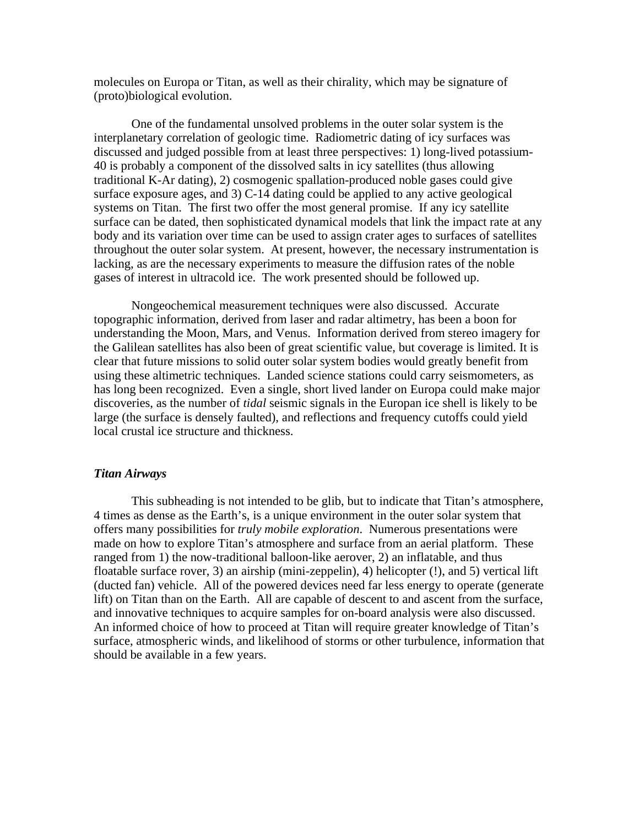molecules on Europa or Titan, as well as their chirality, which may be signature of (proto)biological evolution.

One of the fundamental unsolved problems in the outer solar system is the interplanetary correlation of geologic time. Radiometric dating of icy surfaces was discussed and judged possible from at least three perspectives: 1) long-lived potassium-40 is probably a component of the dissolved salts in icy satellites (thus allowing traditional K-Ar dating), 2) cosmogenic spallation-produced noble gases could give surface exposure ages, and 3) C-14 dating could be applied to any active geological systems on Titan. The first two offer the most general promise. If any icy satellite surface can be dated, then sophisticated dynamical models that link the impact rate at any body and its variation over time can be used to assign crater ages to surfaces of satellites throughout the outer solar system. At present, however, the necessary instrumentation is lacking, as are the necessary experiments to measure the diffusion rates of the noble gases of interest in ultracold ice. The work presented should be followed up.

Nongeochemical measurement techniques were also discussed. Accurate topographic information, derived from laser and radar altimetry, has been a boon for understanding the Moon, Mars, and Venus. Information derived from stereo imagery for the Galilean satellites has also been of great scientific value, but coverage is limited. It is clear that future missions to solid outer solar system bodies would greatly benefit from using these altimetric techniques. Landed science stations could carry seismometers, as has long been recognized. Even a single, short lived lander on Europa could make major discoveries, as the number of *tidal* seismic signals in the Europan ice shell is likely to be large (the surface is densely faulted), and reflections and frequency cutoffs could yield local crustal ice structure and thickness.

#### *Titan Airways*

This subheading is not intended to be glib, but to indicate that Titan's atmosphere, 4 times as dense as the Earth's, is a unique environment in the outer solar system that offers many possibilities for *truly mobile exploration*. Numerous presentations were made on how to explore Titan's atmosphere and surface from an aerial platform. These ranged from 1) the now-traditional balloon-like aerover, 2) an inflatable, and thus floatable surface rover, 3) an airship (mini-zeppelin), 4) helicopter (!), and 5) vertical lift (ducted fan) vehicle. All of the powered devices need far less energy to operate (generate lift) on Titan than on the Earth. All are capable of descent to and ascent from the surface, and innovative techniques to acquire samples for on-board analysis were also discussed. An informed choice of how to proceed at Titan will require greater knowledge of Titan's surface, atmospheric winds, and likelihood of storms or other turbulence, information that should be available in a few years.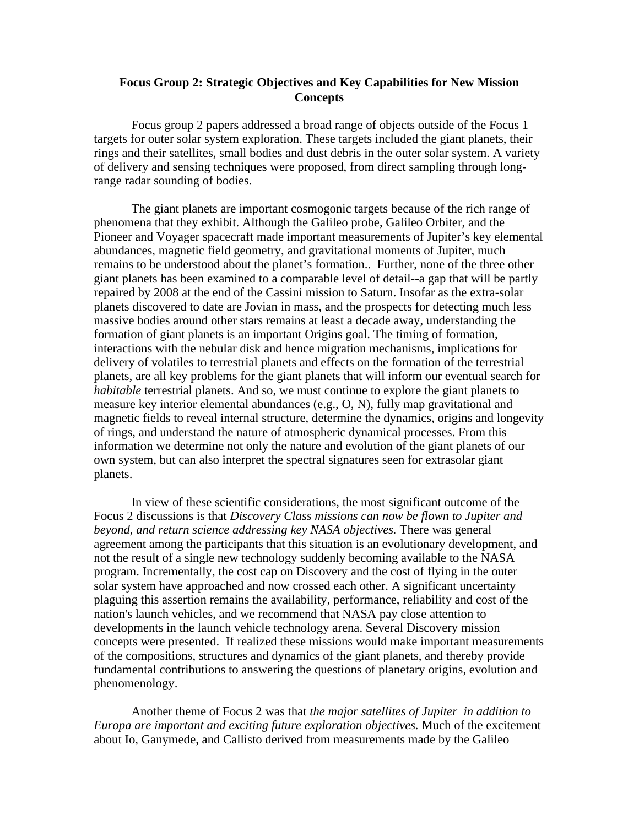## **Focus Group 2: Strategic Objectives and Key Capabilities for New Mission Concepts**

Focus group 2 papers addressed a broad range of objects outside of the Focus 1 targets for outer solar system exploration. These targets included the giant planets, their rings and their satellites, small bodies and dust debris in the outer solar system. A variety of delivery and sensing techniques were proposed, from direct sampling through longrange radar sounding of bodies.

The giant planets are important cosmogonic targets because of the rich range of phenomena that they exhibit. Although the Galileo probe, Galileo Orbiter, and the Pioneer and Voyager spacecraft made important measurements of Jupiter's key elemental abundances, magnetic field geometry, and gravitational moments of Jupiter, much remains to be understood about the planet's formation.. Further, none of the three other giant planets has been examined to a comparable level of detail--a gap that will be partly repaired by 2008 at the end of the Cassini mission to Saturn. Insofar as the extra-solar planets discovered to date are Jovian in mass, and the prospects for detecting much less massive bodies around other stars remains at least a decade away, understanding the formation of giant planets is an important Origins goal. The timing of formation, interactions with the nebular disk and hence migration mechanisms, implications for delivery of volatiles to terrestrial planets and effects on the formation of the terrestrial planets, are all key problems for the giant planets that will inform our eventual search for *habitable* terrestrial planets. And so, we must continue to explore the giant planets to measure key interior elemental abundances (e.g., O, N), fully map gravitational and magnetic fields to reveal internal structure, determine the dynamics, origins and longevity of rings, and understand the nature of atmospheric dynamical processes. From this information we determine not only the nature and evolution of the giant planets of our own system, but can also interpret the spectral signatures seen for extrasolar giant planets.

In view of these scientific considerations, the most significant outcome of the Focus 2 discussions is that *Discovery Class missions can now be flown to Jupiter and beyond, and return science addressing key NASA objectives.* There was general agreement among the participants that this situation is an evolutionary development, and not the result of a single new technology suddenly becoming available to the NASA program. Incrementally, the cost cap on Discovery and the cost of flying in the outer solar system have approached and now crossed each other. A significant uncertainty plaguing this assertion remains the availability, performance, reliability and cost of the nation's launch vehicles, and we recommend that NASA pay close attention to developments in the launch vehicle technology arena. Several Discovery mission concepts were presented. If realized these missions would make important measurements of the compositions, structures and dynamics of the giant planets, and thereby provide fundamental contributions to answering the questions of planetary origins, evolution and phenomenology.

Another theme of Focus 2 was that *the major satellites of Jupiter in addition to Europa are important and exciting future exploration objectives.* Much of the excitement about Io, Ganymede, and Callisto derived from measurements made by the Galileo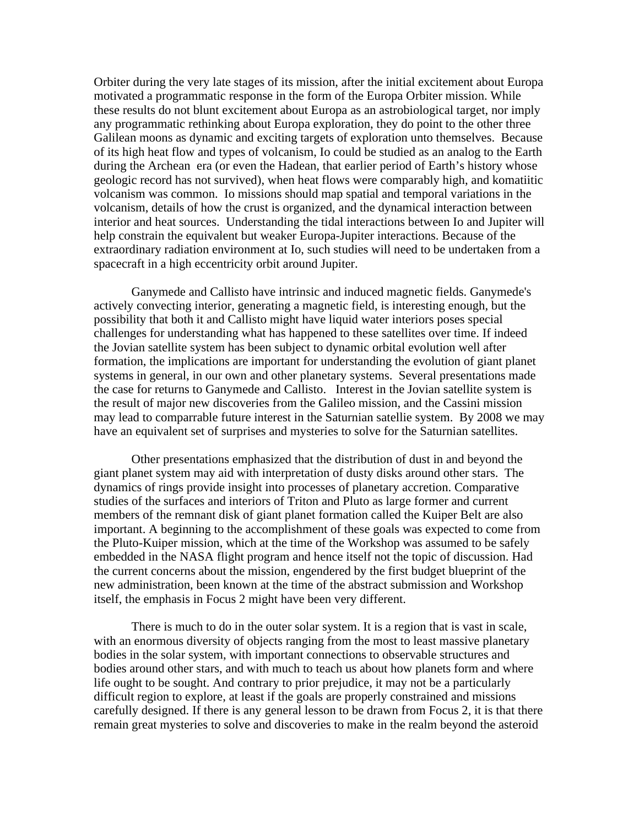Orbiter during the very late stages of its mission, after the initial excitement about Europa motivated a programmatic response in the form of the Europa Orbiter mission. While these results do not blunt excitement about Europa as an astrobiological target, nor imply any programmatic rethinking about Europa exploration, they do point to the other three Galilean moons as dynamic and exciting targets of exploration unto themselves. Because of its high heat flow and types of volcanism, Io could be studied as an analog to the Earth during the Archean era (or even the Hadean, that earlier period of Earth's history whose geologic record has not survived), when heat flows were comparably high, and komatiitic volcanism was common. Io missions should map spatial and temporal variations in the volcanism, details of how the crust is organized, and the dynamical interaction between interior and heat sources. Understanding the tidal interactions between Io and Jupiter will help constrain the equivalent but weaker Europa-Jupiter interactions. Because of the extraordinary radiation environment at Io, such studies will need to be undertaken from a spacecraft in a high eccentricity orbit around Jupiter.

Ganymede and Callisto have intrinsic and induced magnetic fields. Ganymede's actively convecting interior, generating a magnetic field, is interesting enough, but the possibility that both it and Callisto might have liquid water interiors poses special challenges for understanding what has happened to these satellites over time. If indeed the Jovian satellite system has been subject to dynamic orbital evolution well after formation, the implications are important for understanding the evolution of giant planet systems in general, in our own and other planetary systems. Several presentations made the case for returns to Ganymede and Callisto. Interest in the Jovian satellite system is the result of major new discoveries from the Galileo mission, and the Cassini mission may lead to comparrable future interest in the Saturnian satellie system. By 2008 we may have an equivalent set of surprises and mysteries to solve for the Saturnian satellites.

Other presentations emphasized that the distribution of dust in and beyond the giant planet system may aid with interpretation of dusty disks around other stars. The dynamics of rings provide insight into processes of planetary accretion. Comparative studies of the surfaces and interiors of Triton and Pluto as large former and current members of the remnant disk of giant planet formation called the Kuiper Belt are also important. A beginning to the accomplishment of these goals was expected to come from the Pluto-Kuiper mission, which at the time of the Workshop was assumed to be safely embedded in the NASA flight program and hence itself not the topic of discussion. Had the current concerns about the mission, engendered by the first budget blueprint of the new administration, been known at the time of the abstract submission and Workshop itself, the emphasis in Focus 2 might have been very different.

There is much to do in the outer solar system. It is a region that is vast in scale, with an enormous diversity of objects ranging from the most to least massive planetary bodies in the solar system, with important connections to observable structures and bodies around other stars, and with much to teach us about how planets form and where life ought to be sought. And contrary to prior prejudice, it may not be a particularly difficult region to explore, at least if the goals are properly constrained and missions carefully designed. If there is any general lesson to be drawn from Focus 2, it is that there remain great mysteries to solve and discoveries to make in the realm beyond the asteroid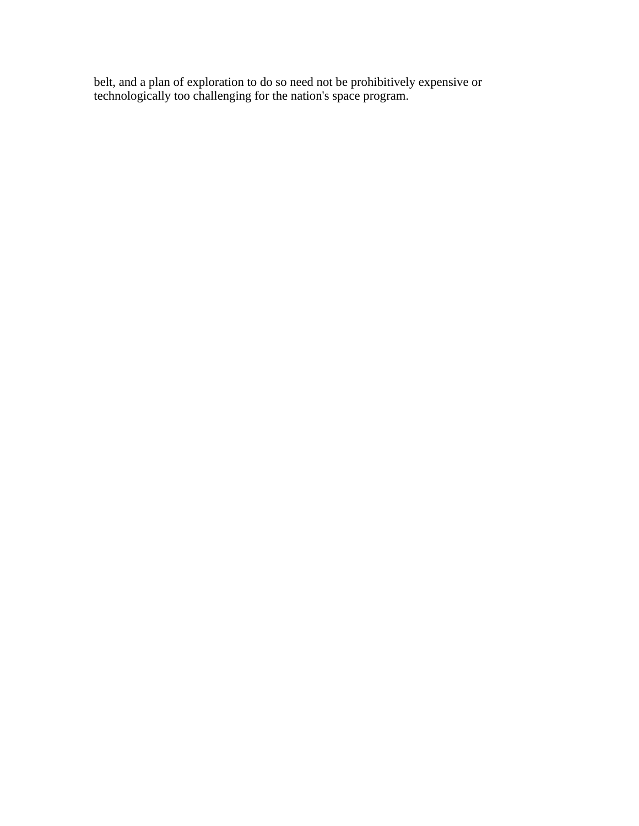belt, and a plan of exploration to do so need not be prohibitively expensive or technologically too challenging for the nation's space program.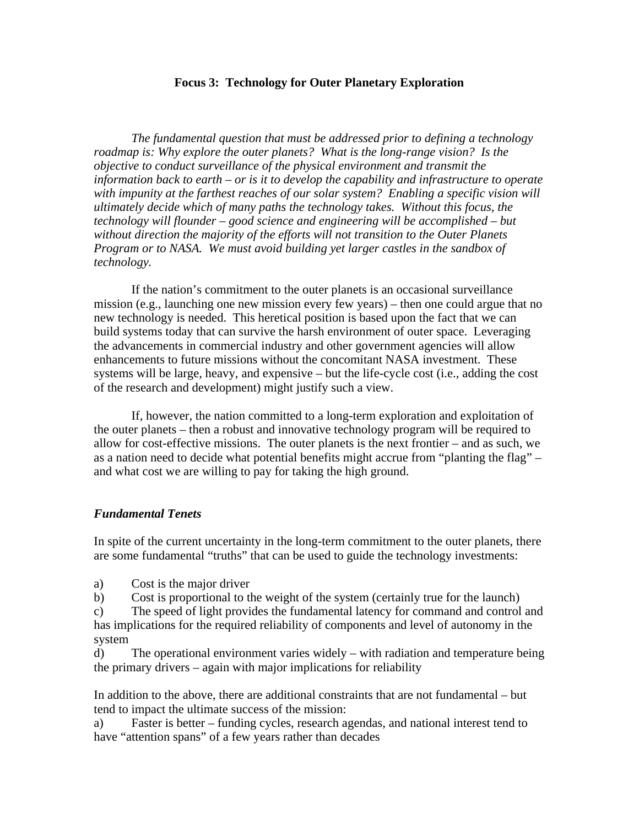## **Focus 3: Technology for Outer Planetary Exploration**

*The fundamental question that must be addressed prior to defining a technology roadmap is: Why explore the outer planets? What is the long-range vision? Is the objective to conduct surveillance of the physical environment and transmit the information back to earth – or is it to develop the capability and infrastructure to operate with impunity at the farthest reaches of our solar system? Enabling a specific vision will ultimately decide which of many paths the technology takes. Without this focus, the technology will flounder – good science and engineering will be accomplished – but without direction the majority of the efforts will not transition to the Outer Planets Program or to NASA. We must avoid building yet larger castles in the sandbox of technology.*

If the nation's commitment to the outer planets is an occasional surveillance mission (e.g., launching one new mission every few years) – then one could argue that no new technology is needed. This heretical position is based upon the fact that we can build systems today that can survive the harsh environment of outer space. Leveraging the advancements in commercial industry and other government agencies will allow enhancements to future missions without the concomitant NASA investment. These systems will be large, heavy, and expensive – but the life-cycle cost (i.e., adding the cost of the research and development) might justify such a view.

If, however, the nation committed to a long-term exploration and exploitation of the outer planets – then a robust and innovative technology program will be required to allow for cost-effective missions. The outer planets is the next frontier – and as such, we as a nation need to decide what potential benefits might accrue from "planting the flag" – and what cost we are willing to pay for taking the high ground.

## *Fundamental Tenets*

In spite of the current uncertainty in the long-term commitment to the outer planets, there are some fundamental "truths" that can be used to guide the technology investments:

a) Cost is the major driver

b) Cost is proportional to the weight of the system (certainly true for the launch)

c) The speed of light provides the fundamental latency for command and control and has implications for the required reliability of components and level of autonomy in the system

d) The operational environment varies widely – with radiation and temperature being the primary drivers – again with major implications for reliability

In addition to the above, there are additional constraints that are not fundamental – but tend to impact the ultimate success of the mission:

a) Faster is better – funding cycles, research agendas, and national interest tend to have "attention spans" of a few years rather than decades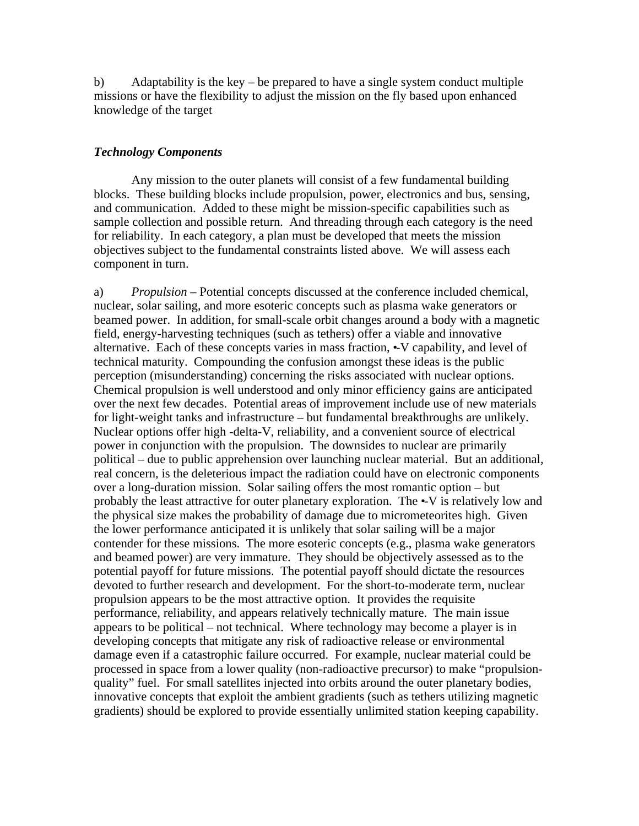b) Adaptability is the key – be prepared to have a single system conduct multiple missions or have the flexibility to adjust the mission on the fly based upon enhanced knowledge of the target

## *Technology Components*

Any mission to the outer planets will consist of a few fundamental building blocks. These building blocks include propulsion, power, electronics and bus, sensing, and communication. Added to these might be mission-specific capabilities such as sample collection and possible return. And threading through each category is the need for reliability. In each category, a plan must be developed that meets the mission objectives subject to the fundamental constraints listed above. We will assess each component in turn.

a) *Propulsion* – Potential concepts discussed at the conference included chemical, nuclear, solar sailing, and more esoteric concepts such as plasma wake generators or beamed power. In addition, for small-scale orbit changes around a body with a magnetic field, energy-harvesting techniques (such as tethers) offer a viable and innovative alternative. Each of these concepts varies in mass fraction,  $\sim$ V capability, and level of technical maturity. Compounding the confusion amongst these ideas is the public perception (misunderstanding) concerning the risks associated with nuclear options. Chemical propulsion is well understood and only minor efficiency gains are anticipated over the next few decades. Potential areas of improvement include use of new materials for light-weight tanks and infrastructure – but fundamental breakthroughs are unlikely. Nuclear options offer high -delta-V, reliability, and a convenient source of electrical power in conjunction with the propulsion. The downsides to nuclear are primarily political – due to public apprehension over launching nuclear material. But an additional, real concern, is the deleterious impact the radiation could have on electronic components over a long-duration mission. Solar sailing offers the most romantic option – but probably the least attractive for outer planetary exploration. The  $\sim$ V is relatively low and the physical size makes the probability of damage due to micrometeorites high. Given the lower performance anticipated it is unlikely that solar sailing will be a major contender for these missions. The more esoteric concepts (e.g., plasma wake generators and beamed power) are very immature. They should be objectively assessed as to the potential payoff for future missions. The potential payoff should dictate the resources devoted to further research and development. For the short-to-moderate term, nuclear propulsion appears to be the most attractive option. It provides the requisite performance, reliability, and appears relatively technically mature. The main issue appears to be political – not technical. Where technology may become a player is in developing concepts that mitigate any risk of radioactive release or environmental damage even if a catastrophic failure occurred. For example, nuclear material could be processed in space from a lower quality (non-radioactive precursor) to make "propulsionquality" fuel. For small satellites injected into orbits around the outer planetary bodies, innovative concepts that exploit the ambient gradients (such as tethers utilizing magnetic gradients) should be explored to provide essentially unlimited station keeping capability.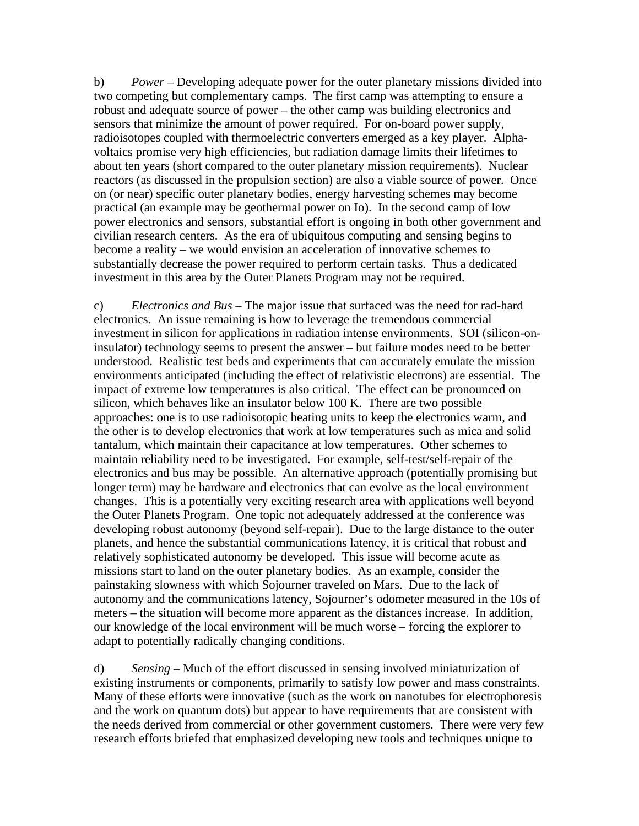b) *Power* – Developing adequate power for the outer planetary missions divided into two competing but complementary camps. The first camp was attempting to ensure a robust and adequate source of power – the other camp was building electronics and sensors that minimize the amount of power required. For on-board power supply, radioisotopes coupled with thermoelectric converters emerged as a key player. Alphavoltaics promise very high efficiencies, but radiation damage limits their lifetimes to about ten years (short compared to the outer planetary mission requirements). Nuclear reactors (as discussed in the propulsion section) are also a viable source of power. Once on (or near) specific outer planetary bodies, energy harvesting schemes may become practical (an example may be geothermal power on Io). In the second camp of low power electronics and sensors, substantial effort is ongoing in both other government and civilian research centers. As the era of ubiquitous computing and sensing begins to become a reality – we would envision an acceleration of innovative schemes to substantially decrease the power required to perform certain tasks. Thus a dedicated investment in this area by the Outer Planets Program may not be required.

c) *Electronics and Bus* – The major issue that surfaced was the need for rad-hard electronics. An issue remaining is how to leverage the tremendous commercial investment in silicon for applications in radiation intense environments. SOI (silicon-oninsulator) technology seems to present the answer – but failure modes need to be better understood. Realistic test beds and experiments that can accurately emulate the mission environments anticipated (including the effect of relativistic electrons) are essential. The impact of extreme low temperatures is also critical. The effect can be pronounced on silicon, which behaves like an insulator below 100 K. There are two possible approaches: one is to use radioisotopic heating units to keep the electronics warm, and the other is to develop electronics that work at low temperatures such as mica and solid tantalum, which maintain their capacitance at low temperatures. Other schemes to maintain reliability need to be investigated. For example, self-test/self-repair of the electronics and bus may be possible. An alternative approach (potentially promising but longer term) may be hardware and electronics that can evolve as the local environment changes. This is a potentially very exciting research area with applications well beyond the Outer Planets Program. One topic not adequately addressed at the conference was developing robust autonomy (beyond self-repair). Due to the large distance to the outer planets, and hence the substantial communications latency, it is critical that robust and relatively sophisticated autonomy be developed. This issue will become acute as missions start to land on the outer planetary bodies. As an example, consider the painstaking slowness with which Sojourner traveled on Mars. Due to the lack of autonomy and the communications latency, Sojourner's odometer measured in the 10s of meters – the situation will become more apparent as the distances increase. In addition, our knowledge of the local environment will be much worse – forcing the explorer to adapt to potentially radically changing conditions.

d) *Sensing* – Much of the effort discussed in sensing involved miniaturization of existing instruments or components, primarily to satisfy low power and mass constraints. Many of these efforts were innovative (such as the work on nanotubes for electrophoresis and the work on quantum dots) but appear to have requirements that are consistent with the needs derived from commercial or other government customers. There were very few research efforts briefed that emphasized developing new tools and techniques unique to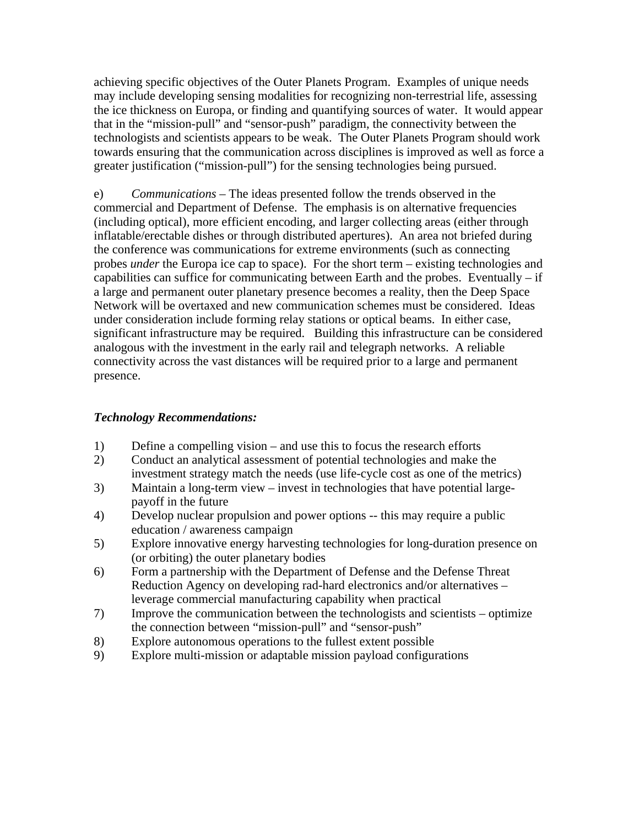achieving specific objectives of the Outer Planets Program. Examples of unique needs may include developing sensing modalities for recognizing non-terrestrial life, assessing the ice thickness on Europa, or finding and quantifying sources of water. It would appear that in the "mission-pull" and "sensor-push" paradigm, the connectivity between the technologists and scientists appears to be weak. The Outer Planets Program should work towards ensuring that the communication across disciplines is improved as well as force a greater justification ("mission-pull") for the sensing technologies being pursued.

e) *Communications* – The ideas presented follow the trends observed in the commercial and Department of Defense. The emphasis is on alternative frequencies (including optical), more efficient encoding, and larger collecting areas (either through inflatable/erectable dishes or through distributed apertures). An area not briefed during the conference was communications for extreme environments (such as connecting probes *under* the Europa ice cap to space). For the short term – existing technologies and capabilities can suffice for communicating between Earth and the probes. Eventually  $-$  if a large and permanent outer planetary presence becomes a reality, then the Deep Space Network will be overtaxed and new communication schemes must be considered. Ideas under consideration include forming relay stations or optical beams. In either case, significant infrastructure may be required. Building this infrastructure can be considered analogous with the investment in the early rail and telegraph networks. A reliable connectivity across the vast distances will be required prior to a large and permanent presence.

# *Technology Recommendations:*

- 1) Define a compelling vision and use this to focus the research efforts
- 2) Conduct an analytical assessment of potential technologies and make the investment strategy match the needs (use life-cycle cost as one of the metrics)
- 3) Maintain a long-term view invest in technologies that have potential largepayoff in the future
- 4) Develop nuclear propulsion and power options -- this may require a public education / awareness campaign
- 5) Explore innovative energy harvesting technologies for long-duration presence on (or orbiting) the outer planetary bodies
- 6) Form a partnership with the Department of Defense and the Defense Threat Reduction Agency on developing rad-hard electronics and/or alternatives – leverage commercial manufacturing capability when practical
- 7) Improve the communication between the technologists and scientists optimize the connection between "mission-pull" and "sensor-push"
- 8) Explore autonomous operations to the fullest extent possible
- 9) Explore multi-mission or adaptable mission payload configurations